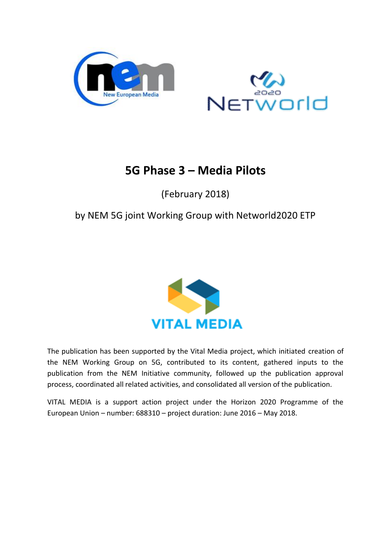



# **5G Phase 3 – Media Pilots**

(February 2018)

## by NEM 5G joint Working Group with Networld2020 ETP



The publication has been supported by the Vital Media project, which initiated creation of the NEM Working Group on 5G, contributed to its content, gathered inputs to the publication from the NEM Initiative community, followed up the publication approval process, coordinated all related activities, and consolidated all version of the publication.

VITAL MEDIA is a support action project under the Horizon 2020 Programme of the European Union – number: 688310 – project duration: June 2016 – May 2018.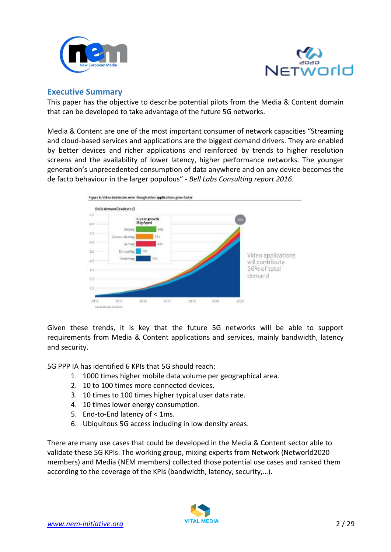



### <span id="page-1-0"></span>**Executive Summary**

This paper has the objective to describe potential pilots from the Media & Content domain that can be developed to take advantage of the future 5G networks.

Media & Content are one of the most important consumer of network capacities "Streaming and cloud-based services and applications are the biggest demand drivers. They are enabled by better devices and richer applications and reinforced by trends to higher resolution screens and the availability of lower latency, higher performance networks. The younger generation's unprecedented consumption of data anywhere and on any device becomes the de facto behaviour in the larger populous" - *Bell Labs Consulting report 2016.*



Given these trends, it is key that the future 5G networks will be able to support requirements from Media & Content applications and services, mainly bandwidth, latency and security.

5G PPP IA has identified 6 KPIs that 5G should reach:

- 1. 1000 times higher mobile data volume per geographical area.
- 2. 10 to 100 times more connected devices.
- 3. 10 times to 100 times higher typical user data rate.
- 4. 10 times lower energy consumption.
- 5. End-to-End latency of < 1ms.
- 6. Ubiquitous 5G access including in low density areas.

There are many use cases that could be developed in the Media & Content sector able to validate these 5G KPIs. The working group, mixing experts from Network (Networld2020 members) and Media (NEM members) collected those potential use cases and ranked them according to the coverage of the KPIs (bandwidth, latency, security,…).

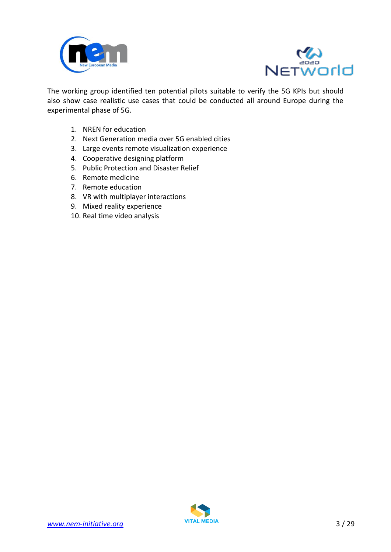



The working group identified ten potential pilots suitable to verify the 5G KPIs but should also show case realistic use cases that could be conducted all around Europe during the experimental phase of 5G.

- 1. NREN for education
- 2. Next Generation media over 5G enabled cities
- 3. Large events remote visualization experience
- 4. Cooperative designing platform
- 5. Public Protection and Disaster Relief
- 6. Remote medicine
- 7. Remote education
- 8. VR with multiplayer interactions
- 9. Mixed reality experience
- 10. Real time video analysis

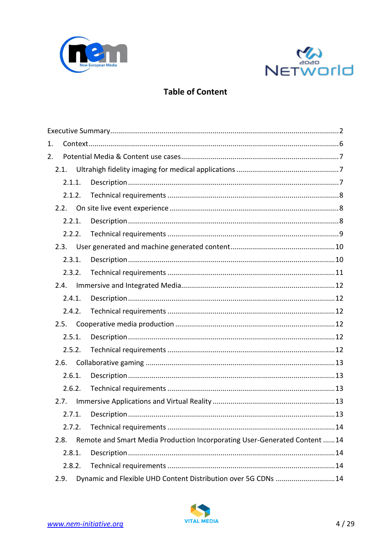



## **Table of Content**

| 1.     |        |        |                                                                           |  |  |  |  |
|--------|--------|--------|---------------------------------------------------------------------------|--|--|--|--|
| 2.     |        |        |                                                                           |  |  |  |  |
|        | 2.1.   |        |                                                                           |  |  |  |  |
|        | 2.1.1. |        |                                                                           |  |  |  |  |
|        | 2.1.2. |        |                                                                           |  |  |  |  |
|        | 2.2.   |        |                                                                           |  |  |  |  |
|        | 2.2.1. |        |                                                                           |  |  |  |  |
|        |        |        |                                                                           |  |  |  |  |
|        | 2.3.   |        |                                                                           |  |  |  |  |
|        | 2.3.1. |        |                                                                           |  |  |  |  |
|        | 2.3.2. |        |                                                                           |  |  |  |  |
|        | 2.4.   |        |                                                                           |  |  |  |  |
|        | 2.4.1. |        |                                                                           |  |  |  |  |
|        | 2.4.2. |        |                                                                           |  |  |  |  |
|        | 2.5.   |        |                                                                           |  |  |  |  |
| 2.5.1. |        |        |                                                                           |  |  |  |  |
|        | 2.5.2. |        |                                                                           |  |  |  |  |
|        | 2.6.   |        |                                                                           |  |  |  |  |
| 2.6.1. |        |        |                                                                           |  |  |  |  |
| 2.6.2. |        |        |                                                                           |  |  |  |  |
| 2.7.   |        |        |                                                                           |  |  |  |  |
|        |        | 2.7.1. |                                                                           |  |  |  |  |
|        | 2.7.2. |        |                                                                           |  |  |  |  |
|        | 2.8.   |        | Remote and Smart Media Production Incorporating User-Generated Content 14 |  |  |  |  |
|        | 2.8.1. |        |                                                                           |  |  |  |  |
| 2.8.2. |        |        |                                                                           |  |  |  |  |
|        | 2.9.   |        | Dynamic and Flexible UHD Content Distribution over 5G CDNs 14             |  |  |  |  |

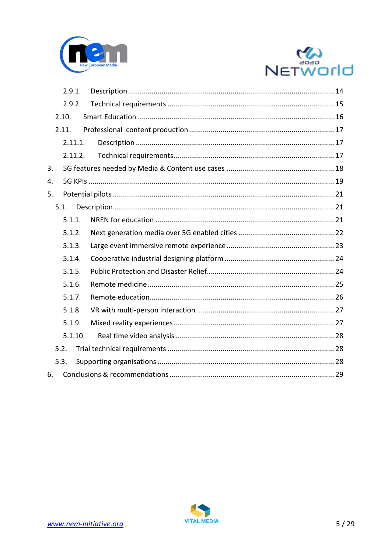



|    | 2.9.1.  |  |  |  |  |  |
|----|---------|--|--|--|--|--|
|    | 2.9.2.  |  |  |  |  |  |
|    | 2.10.   |  |  |  |  |  |
|    | 2.11.   |  |  |  |  |  |
|    | 2.11.1. |  |  |  |  |  |
|    | 2.11.2. |  |  |  |  |  |
| 3. |         |  |  |  |  |  |
| 4. |         |  |  |  |  |  |
| 5. |         |  |  |  |  |  |
|    | 5.1.    |  |  |  |  |  |
|    | 5.1.1.  |  |  |  |  |  |
|    | 5.1.2.  |  |  |  |  |  |
|    | 5.1.3.  |  |  |  |  |  |
|    | 5.1.4.  |  |  |  |  |  |
|    | 5.1.5.  |  |  |  |  |  |
|    | 5.1.6.  |  |  |  |  |  |
|    | 5.1.7.  |  |  |  |  |  |
|    | 5.1.8.  |  |  |  |  |  |
|    | 5.1.9.  |  |  |  |  |  |
|    | 5.1.10. |  |  |  |  |  |
|    | 5.2.    |  |  |  |  |  |
|    | 5.3.    |  |  |  |  |  |
| 6. |         |  |  |  |  |  |

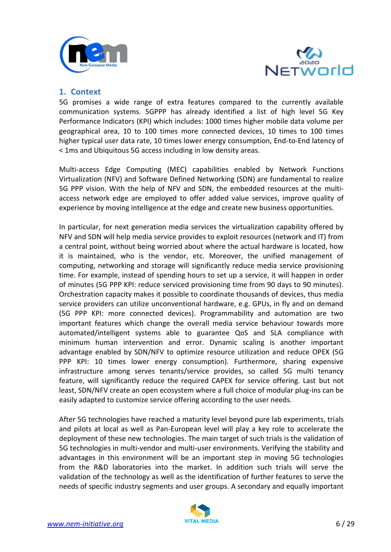



## <span id="page-5-0"></span>**1. Context**

5G promises a wide range of extra features compared to the currently available communication systems. 5GPPP has already identified a list of high level 5G Key Performance Indicators (KPI) which includes: 1000 times higher mobile data volume per geographical area, 10 to 100 times more connected devices, 10 times to 100 times higher typical user data rate, 10 times lower energy consumption, End-to-End latency of < 1ms and Ubiquitous 5G access including in low density areas.

Multi-access Edge Computing (MEC) capabilities enabled by Network Functions Virtualization (NFV) and Software Defined Networking (SDN) are fundamental to realize 5G PPP vision. With the help of NFV and SDN, the embedded resources at the multiaccess network edge are employed to offer added value services, improve quality of experience by moving intelligence at the edge and create new business opportunities.

In particular, for next generation media services the virtualization capability offered by NFV and SDN will help media service provides to exploit resources (network and IT) from a central point, without being worried about where the actual hardware is located, how it is maintained, who is the vendor, etc. Moreover, the unified management of computing, networking and storage will significantly reduce media service provisioning time. For example, instead of spending hours to set up a service, it will happen in order of minutes (5G PPP KPI: reduce serviced provisioning time from 90 days to 90 minutes). Orchestration capacity makes it possible to coordinate thousands of devices, thus media service providers can utilize unconventional hardware, e.g. GPUs, in fly and on demand (5G PPP KPI: more connected devices). Programmability and automation are two important features which change the overall media service behaviour towards more automated/intelligent systems able to guarantee QoS and SLA compliance with minimum human intervention and error. Dynamic scaling is another important advantage enabled by SDN/NFV to optimize resource utilization and reduce OPEX (5G PPP KPI: 10 times lower energy consumption). Furthermore, sharing expensive infrastructure among serves tenants/service provides, so called 5G multi tenancy feature, will significantly reduce the required CAPEX for service offering. Last but not least, SDN/NFV create an open ecosystem where a full choice of modular plug-ins can be easily adapted to customize service offering according to the user needs.

After 5G technologies have reached a maturity level beyond pure lab experiments, trials and pilots at local as well as Pan-European level will play a key role to accelerate the deployment of these new technologies. The main target of such trials is the validation of 5G technologies in multi-vendor and multi-user environments. Verifying the stability and advantages in this environment will be an important step in moving 5G technologies from the R&D laboratories into the market. In addition such trials will serve the validation of the technology as well as the identification of further features to serve the needs of specific industry segments and user groups. A secondary and equally important

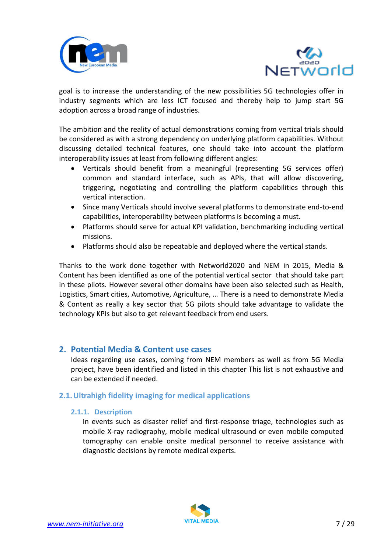



goal is to increase the understanding of the new possibilities 5G technologies offer in industry segments which are less ICT focused and thereby help to jump start 5G adoption across a broad range of industries.

The ambition and the reality of actual demonstrations coming from vertical trials should be considered as with a strong dependency on underlying platform capabilities. Without discussing detailed technical features, one should take into account the platform interoperability issues at least from following different angles:

- Verticals should benefit from a meaningful (representing 5G services offer) common and standard interface, such as APIs, that will allow discovering, triggering, negotiating and controlling the platform capabilities through this vertical interaction.
- Since many Verticals should involve several platforms to demonstrate end-to-end capabilities, interoperability between platforms is becoming a must.
- Platforms should serve for actual KPI validation, benchmarking including vertical missions.
- Platforms should also be repeatable and deployed where the vertical stands.

Thanks to the work done together with Networld2020 and NEM in 2015, Media & Content has been identified as one of the potential vertical sector that should take part in these pilots. However several other domains have been also selected such as Health, Logistics, Smart cities, Automotive, Agriculture, … There is a need to demonstrate Media & Content as really a key sector that 5G pilots should take advantage to validate the technology KPIs but also to get relevant feedback from end users.

## <span id="page-6-0"></span>**2. Potential Media & Content use cases**

Ideas regarding use cases, coming from NEM members as well as from 5G Media project, have been identified and listed in this chapter This list is not exhaustive and can be extended if needed.

## <span id="page-6-2"></span><span id="page-6-1"></span>**2.1.Ultrahigh fidelity imaging for medical applications**

#### **2.1.1. Description**

In events such as disaster relief and first-response triage, technologies such as mobile X-ray radiography, mobile medical ultrasound or even mobile computed tomography can enable onsite medical personnel to receive assistance with diagnostic decisions by remote medical experts.

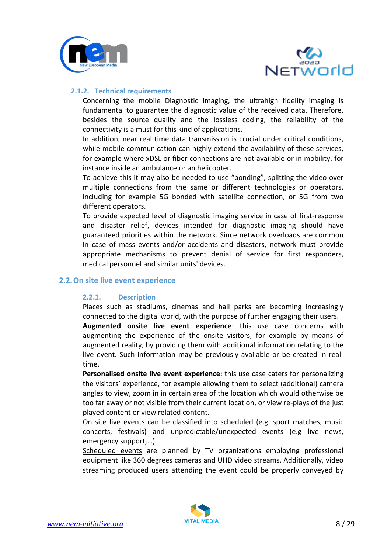



#### <span id="page-7-0"></span>**2.1.2. Technical requirements**

Concerning the mobile Diagnostic Imaging, the ultrahigh fidelity imaging is fundamental to guarantee the diagnostic value of the received data. Therefore, besides the source quality and the lossless coding, the reliability of the connectivity is a must for this kind of applications.

In addition, near real time data transmission is crucial under critical conditions, while mobile communication can highly extend the availability of these services, for example where xDSL or fiber connections are not available or in mobility, for instance inside an ambulance or an helicopter.

To achieve this it may also be needed to use "bonding", splitting the video over multiple connections from the same or different technologies or operators, including for example 5G bonded with satellite connection, or 5G from two different operators.

To provide expected level of diagnostic imaging service in case of first-response and disaster relief, devices intended for diagnostic imaging should have guaranteed priorities within the network. Since network overloads are common in case of mass events and/or accidents and disasters, network must provide appropriate mechanisms to prevent denial of service for first responders, medical personnel and similar units' devices.

#### <span id="page-7-2"></span><span id="page-7-1"></span>**2.2.On site live event experience**

#### **2.2.1. Description**

Places such as stadiums, cinemas and hall parks are becoming increasingly connected to the digital world, with the purpose of further engaging their users.

**Augmented onsite live event experience**: this use case concerns with augmenting the experience of the onsite visitors, for example by means of augmented reality, by providing them with additional information relating to the live event. Such information may be previously available or be created in realtime.

**Personalised onsite live event experience**: this use case caters for personalizing the visitors' experience, for example allowing them to select (additional) camera angles to view, zoom in in certain area of the location which would otherwise be too far away or not visible from their current location, or view re-plays of the just played content or view related content.

On site live events can be classified into scheduled (e.g. sport matches, music concerts, festivals) and unpredictable/unexpected events (e.g live news, emergency support,…).

Scheduled events are planned by TV organizations employing professional equipment like 360 degrees cameras and UHD video streams. Additionally, video streaming produced users attending the event could be properly conveyed by

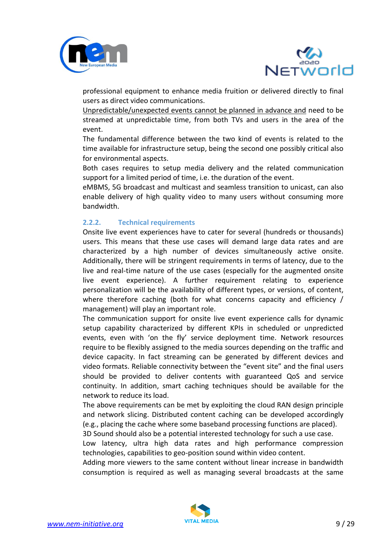



professional equipment to enhance media fruition or delivered directly to final users as direct video communications.

Unpredictable/unexpected events cannot be planned in advance and need to be streamed at unpredictable time, from both TVs and users in the area of the event.

The fundamental difference between the two kind of events is related to the time available for infrastructure setup, being the second one possibly critical also for environmental aspects.

Both cases requires to setup media delivery and the related communication support for a limited period of time, i.e. the duration of the event.

eMBMS, 5G broadcast and multicast and seamless transition to unicast, can also enable delivery of high quality video to many users without consuming more bandwidth.

#### <span id="page-8-0"></span>**2.2.2. Technical requirements**

Onsite live event experiences have to cater for several (hundreds or thousands) users. This means that these use cases will demand large data rates and are characterized by a high number of devices simultaneously active onsite. Additionally, there will be stringent requirements in terms of latency, due to the live and real-time nature of the use cases (especially for the augmented onsite live event experience). A further requirement relating to experience personalization will be the availability of different types, or versions, of content, where therefore caching (both for what concerns capacity and efficiency / management) will play an important role.

The communication support for onsite live event experience calls for dynamic setup capability characterized by different KPIs in scheduled or unpredicted events, even with 'on the fly' service deployment time. Network resources require to be flexibly assigned to the media sources depending on the traffic and device capacity. In fact streaming can be generated by different devices and video formats. Reliable connectivity between the "event site" and the final users should be provided to deliver contents with guaranteed QoS and service continuity. In addition, smart caching techniques should be available for the network to reduce its load.

The above requirements can be met by exploiting the cloud RAN design principle and network slicing. Distributed content caching can be developed accordingly (e.g., placing the cache where some baseband processing functions are placed).

3D Sound should also be a potential interested technology for such a use case. Low latency, ultra high data rates and high performance compression

technologies, capabilities to geo-position sound within video content. Adding more viewers to the same content without linear increase in bandwidth consumption is required as well as managing several broadcasts at the same

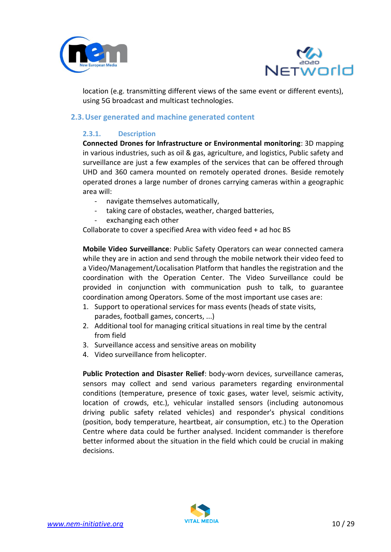



location (e.g. transmitting different views of the same event or different events), using 5G broadcast and multicast technologies.

#### <span id="page-9-1"></span><span id="page-9-0"></span>**2.3.User generated and machine generated content**

#### **2.3.1. Description**

**Connected Drones for Infrastructure or Environmental monitoring**: 3D mapping in various industries, such as oil & gas, agriculture, and logistics, Public safety and surveillance are just a few examples of the services that can be offered through UHD and 360 camera mounted on remotely operated drones. Beside remotely operated drones a large number of drones carrying cameras within a geographic area will:

- navigate themselves automatically,
- taking care of obstacles, weather, charged batteries,
- exchanging each other

Collaborate to cover a specified Area with video feed + ad hoc BS

**Mobile Video Surveillance**: Public Safety Operators can wear connected camera while they are in action and send through the mobile network their video feed to a Video/Management/Localisation Platform that handles the registration and the coordination with the Operation Center. The Video Surveillance could be provided in conjunction with communication push to talk, to guarantee coordination among Operators. Some of the most important use cases are:

- 1. Support to operational services for mass events (heads of state visits, parades, football games, concerts, ...)
- 2. Additional tool for managing critical situations in real time by the central from field
- 3. Surveillance access and sensitive areas on mobility
- 4. Video surveillance from helicopter.

**Public Protection and Disaster Relief**: body-worn devices, surveillance cameras, sensors may collect and send various parameters regarding environmental conditions (temperature, presence of toxic gases, water level, seismic activity, location of crowds, etc.), vehicular installed sensors (including autonomous driving public safety related vehicles) and responder's physical conditions (position, body temperature, heartbeat, air consumption, etc.) to the Operation Centre where data could be further analysed. Incident commander is therefore better informed about the situation in the field which could be crucial in making decisions.

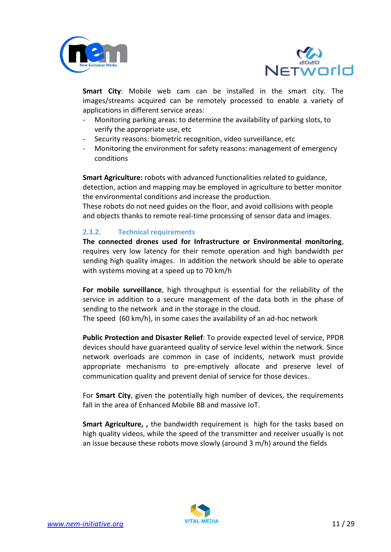



**Smart City**: Mobile web cam can be installed in the smart city. The images/streams acquired can be remotely processed to enable a variety of applications in different service areas:

- Monitoring parking areas: to determine the availability of parking slots, to verify the appropriate use, etc
- Security reasons: biometric recognition, video surveillance, etc
- Monitoring the environment for safety reasons: management of emergency conditions

**Smart Agriculture:** robots with advanced functionalities related to guidance, detection, action and mapping may be employed in agriculture to better monitor the environmental conditions and increase the production.

These robots do not need guides on the floor, and avoid collisions with people and objects thanks to remote real-time processing of sensor data and images.

#### <span id="page-10-0"></span>**2.3.2. Technical requirements**

**The connected drones used for Infrastructure or Environmental monitoring**, requires very low latency for their remote operation and high bandwidth per sending high quality images. In addition the network should be able to operate with systems moving at a speed up to 70 km/h

**For mobile surveillance**, high throughput is essential for the reliability of the service in addition to a secure management of the data both in the phase of sending to the network and in the storage in the cloud.

The speed (60 km/h), in some cases the availability of an ad-hoc network

**Public Protection and Disaster Relief**: To provide expected level of service, PPDR devices should have guaranteed quality of service level within the network. Since network overloads are common in case of incidents, network must provide appropriate mechanisms to pre-emptively allocate and preserve level of communication quality and prevent denial of service for those devices.

For **Smart City**, given the potentially high number of devices, the requirements fall in the area of Enhanced Mobile BB and massive IoT.

**Smart Agriculture, ,** the bandwidth requirement is high for the tasks based on high quality videos, while the speed of the transmitter and receiver usually is not an issue because these robots move slowly (around 3 m/h) around the fields

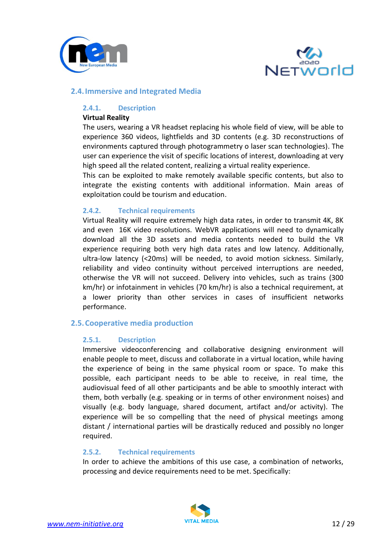



#### <span id="page-11-1"></span><span id="page-11-0"></span>**2.4.Immersive and Integrated Media**

#### **2.4.1. Description**

#### **Virtual Reality**

The users, wearing a VR headset replacing his whole field of view, will be able to experience 360 videos, lightfields and 3D contents (e.g. 3D reconstructions of environments captured through photogrammetry o laser scan technologies). The user can experience the visit of specific locations of interest, downloading at very high speed all the related content, realizing a virtual reality experience.

This can be exploited to make remotely available specific contents, but also to integrate the existing contents with additional information. Main areas of exploitation could be tourism and education.

#### <span id="page-11-2"></span>**2.4.2. Technical requirements**

Virtual Reality will require extremely high data rates, in order to transmit 4K, 8K and even 16K video resolutions. WebVR applications will need to dynamically download all the 3D assets and media contents needed to build the VR experience requiring both very high data rates and low latency. Additionally, ultra-low latency (<20ms) will be needed, to avoid motion sickness. Similarly, reliability and video continuity without perceived interruptions are needed, otherwise the VR will not succeed. Delivery into vehicles, such as trains (300 km/hr) or infotainment in vehicles (70 km/hr) is also a technical requirement, at a lower priority than other services in cases of insufficient networks performance.

#### <span id="page-11-4"></span><span id="page-11-3"></span>**2.5.Cooperative media production**

#### **2.5.1. Description**

Immersive videoconferencing and collaborative designing environment will enable people to meet, discuss and collaborate in a virtual location, while having the experience of being in the same physical room or space. To make this possible, each participant needs to be able to receive, in real time, the audiovisual feed of all other participants and be able to smoothly interact with them, both verbally (e.g. speaking or in terms of other environment noises) and visually (e.g. body language, shared document, artifact and/or activity). The experience will be so compelling that the need of physical meetings among distant / international parties will be drastically reduced and possibly no longer required.

#### <span id="page-11-5"></span>**2.5.2. Technical requirements**

In order to achieve the ambitions of this use case, a combination of networks, processing and device requirements need to be met. Specifically:

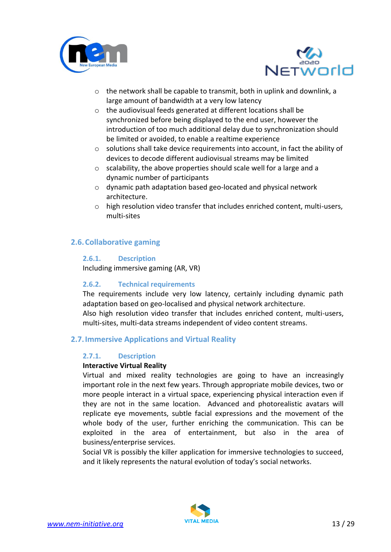



- o the network shall be capable to transmit, both in uplink and downlink, a large amount of bandwidth at a very low latency
- o the audiovisual feeds generated at different locations shall be synchronized before being displayed to the end user, however the introduction of too much additional delay due to synchronization should be limited or avoided, to enable a realtime experience
- o solutions shall take device requirements into account, in fact the ability of devices to decode different audiovisual streams may be limited
- o scalability, the above properties should scale well for a large and a dynamic number of participants
- o dynamic path adaptation based geo-located and physical network architecture.
- $\circ$  high resolution video transfer that includes enriched content, multi-users, multi-sites

## <span id="page-12-1"></span><span id="page-12-0"></span>**2.6.Collaborative gaming**

## **2.6.1. Description**

Including immersive gaming (AR, VR)

## <span id="page-12-2"></span>**2.6.2. Technical requirements**

The requirements include very low latency, certainly including dynamic path adaptation based on geo-localised and physical network architecture. Also high resolution video transfer that includes enriched content, multi-users, multi-sites, multi-data streams independent of video content streams.

## <span id="page-12-4"></span><span id="page-12-3"></span>**2.7.Immersive Applications and Virtual Reality**

#### **2.7.1. Description**

#### **Interactive Virtual Reality**

Virtual and mixed reality technologies are going to have an increasingly important role in the next few years. Through appropriate mobile devices, two or more people interact in a virtual space, experiencing physical interaction even if they are not in the same location. Advanced and photorealistic avatars will replicate eye movements, subtle facial expressions and the movement of the whole body of the user, further enriching the communication. This can be exploited in the area of entertainment, but also in the area of business/enterprise services.

Social VR is possibly the killer application for immersive technologies to succeed, and it likely represents the natural evolution of today's social networks.

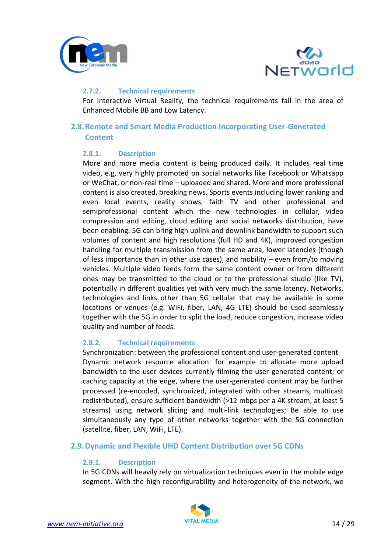



#### <span id="page-13-0"></span>**2.7.2. Technical requirements**

For Interactive Virtual Reality, the technical requirements fall in the area of Enhanced Mobile BB and Low Latency.

## <span id="page-13-2"></span><span id="page-13-1"></span>**2.8.Remote and Smart Media Production Incorporating User-Generated Content**

#### **2.8.1. Description**

More and more media content is being produced daily. It includes real time video, e.g, very highly promoted on social networks like Facebook or Whatsapp or WeChat, or non-real time – uploaded and shared. More and more professional content is also created, breaking news, Sports events including lower ranking and even local events, reality shows, faith TV and other professional and semiprofessional content which the new technologies in cellular, video compression and editing, cloud editing and social networks distribution, have been enabling. 5G can bring high uplink and downlink bandwidth to support such volumes of content and high resolutions (full HD and 4K), improved congestion handling for multiple transmission from the same area, lower latencies (though of less importance than in other use cases), and mobility – even from/to moving vehicles. Multiple video feeds form the same content owner or from different ones may be transmitted to the cloud or to the professional studio (like TV), potentially in different qualities yet with very much the same latency. Networks, technologies and links other than 5G cellular that may be available in some locations or venues (e.g. WiFi, fiber, LAN, 4G LTE) should be used seamlessly together with the 5G in order to split the load, reduce congestion, increase video quality and number of feeds.

#### <span id="page-13-3"></span>**2.8.2. Technical requirements**

Synchronization: between the professional content and user-generated content Dynamic network resource allocation: for example to allocate more upload bandwidth to the user devices currently filming the user-generated content; or caching capacity at the edge, where the user-generated content may be further processed (re-encoded, synchronized, integrated with other streams, multicast redistributed), ensure sufficient bandwidth (>12 mbps per a 4K stream, at least 5 streams) using network slicing and multi-link technologies; Be able to use simultaneously any type of other networks together with the 5G connection (satellite, fiber, LAN, WiFi, LTE).

#### <span id="page-13-5"></span><span id="page-13-4"></span>**2.9.Dynamic and Flexible UHD Content Distribution over 5G CDNs**

#### **2.9.1. Description**

In 5G CDNs will heavily rely on virtualization techniques even in the mobile edge segment. With the high reconfigurability and heterogeneity of the network, we

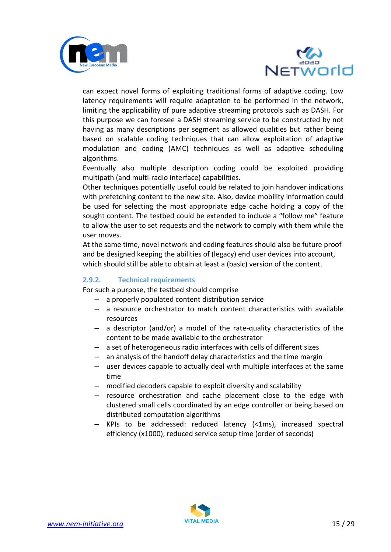



can expect novel forms of exploiting traditional forms of adaptive coding. Low latency requirements will require adaptation to be performed in the network, limiting the applicability of pure adaptive streaming protocols such as DASH. For this purpose we can foresee a DASH streaming service to be constructed by not having as many descriptions per segment as allowed qualities but rather being based on scalable coding techniques that can allow exploitation of adaptive modulation and coding (AMC) techniques as well as adaptive scheduling algorithms.

Eventually also multiple description coding could be exploited providing multipath (and multi-radio interface) capabilities.

Other techniques potentially useful could be related to join handover indications with prefetching content to the new site. Also, device mobility information could be used for selecting the most appropriate edge cache holding a copy of the sought content. The testbed could be extended to include a "follow me" feature to allow the user to set requests and the network to comply with them while the user moves.

At the same time, novel network and coding features should also be future proof and be designed keeping the abilities of (legacy) end user devices into account, which should still be able to obtain at least a (basic) version of the content.

#### <span id="page-14-0"></span>**2.9.2. Technical requirements**

For such a purpose, the testbed should comprise

- a properly populated content distribution service
- a resource orchestrator to match content characteristics with available resources
- a descriptor (and/or) a model of the rate-quality characteristics of the content to be made available to the orchestrator
- a set of heterogeneous radio interfaces with cells of different sizes
- an analysis of the handoff delay characteristics and the time margin
- user devices capable to actually deal with multiple interfaces at the same time
- modified decoders capable to exploit diversity and scalability
- resource orchestration and cache placement close to the edge with clustered small cells coordinated by an edge controller or being based on distributed computation algorithms
- KPIs to be addressed: reduced latency (<1ms), increased spectral efficiency (x1000), reduced service setup time (order of seconds)

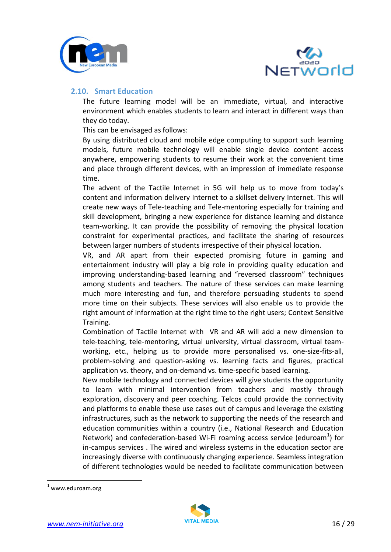



#### <span id="page-15-0"></span>**2.10. Smart Education**

The future learning model will be an immediate, virtual, and interactive environment which enables students to learn and interact in different ways than they do today.

This can be envisaged as follows:

By using distributed cloud and mobile edge computing to support such learning models, future mobile technology will enable single device content access anywhere, empowering students to resume their work at the convenient time and place through different devices, with an impression of immediate response time.

The advent of the Tactile Internet in 5G will help us to move from today's content and information delivery Internet to a skillset delivery Internet. This will create new ways of Tele-teaching and Tele-mentoring especially for training and skill development, bringing a new experience for distance learning and distance team-working. It can provide the possibility of removing the physical location constraint for experimental practices, and facilitate the sharing of resources between larger numbers of students irrespective of their physical location.

VR, and AR apart from their expected promising future in gaming and entertainment industry will play a big role in providing quality education and improving understanding-based learning and "reversed classroom" techniques among students and teachers. The nature of these services can make learning much more interesting and fun, and therefore persuading students to spend more time on their subjects. These services will also enable us to provide the right amount of information at the right time to the right users; Context Sensitive Training.

Combination of Tactile Internet with VR and AR will add a new dimension to tele-teaching, tele-mentoring, virtual university, virtual classroom, virtual teamworking, etc., helping us to provide more personalised vs. one-size-fits-all, problem-solving and question-asking vs. learning facts and figures, practical application vs. theory, and on-demand vs. time-specific based learning.

New mobile technology and connected devices will give students the opportunity to learn with minimal intervention from teachers and mostly through exploration, discovery and peer coaching. Telcos could provide the connectivity and platforms to enable these use cases out of campus and leverage the existing infrastructures, such as the network to supporting the needs of the [research](https://en.wikipedia.org/wiki/Research) and [education](https://en.wikipedia.org/wiki/Education) communities within a country (i.e., National Research and Education Network) and confederation-based Wi-Fi roaming access service (eduroam<sup>1</sup>) for in-campus services . The wired and wireless systems in the education sector are increasingly diverse with continuously changing experience. Seamless integration of different technologies would be needed to facilitate communication between

-



 $1$  www.eduroam.org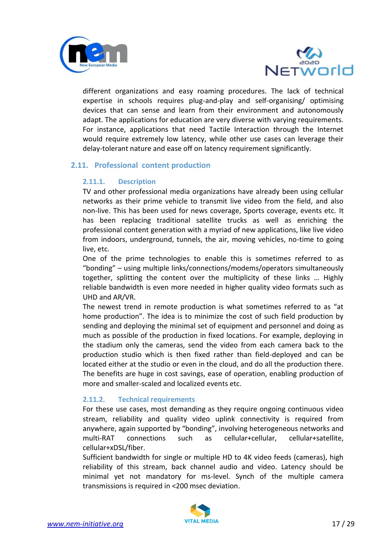



different organizations and easy roaming procedures. The lack of technical expertise in schools requires plug-and-play and self-organising/ optimising devices that can sense and learn from their environment and autonomously adapt. The applications for education are very diverse with varying requirements. For instance, applications that need Tactile Interaction through the Internet would require extremely low latency, while other use cases can leverage their delay-tolerant nature and ease off on latency requirement significantly.

## <span id="page-16-1"></span><span id="page-16-0"></span>**2.11. Professional content production**

#### **2.11.1. Description**

TV and other professional media organizations have already been using cellular networks as their prime vehicle to transmit live video from the field, and also non-live. This has been used for news coverage, Sports coverage, events etc. It has been replacing traditional satellite trucks as well as enriching the professional content generation with a myriad of new applications, like live video from indoors, underground, tunnels, the air, moving vehicles, no-time to going live, etc.

One of the prime technologies to enable this is sometimes referred to as "bonding" – using multiple links/connections/modems/operators simultaneously together, splitting the content over the multiplicity of these links … Highly reliable bandwidth is even more needed in higher quality video formats such as UHD and AR/VR.

The newest trend in remote production is what sometimes referred to as "at home production". The idea is to minimize the cost of such field production by sending and deploying the minimal set of equipment and personnel and doing as much as possible of the production in fixed locations. For example, deploying in the stadium only the cameras, send the video from each camera back to the production studio which is then fixed rather than field-deployed and can be located either at the studio or even in the cloud, and do all the production there. The benefits are huge in cost savings, ease of operation, enabling production of more and smaller-scaled and localized events etc.

#### <span id="page-16-2"></span>**2.11.2. Technical requirements**

For these use cases, most demanding as they require ongoing continuous video stream, reliability and quality video uplink connectivity is required from anywhere, again supported by "bonding", involving heterogeneous networks and multi-RAT connections such as cellular+cellular, cellular+satellite, cellular+xDSL/fiber.

Sufficient bandwidth for single or multiple HD to 4K video feeds (cameras), high reliability of this stream, back channel audio and video. Latency should be minimal yet not mandatory for ms-level. Synch of the multiple camera transmissions is required in <200 msec deviation.

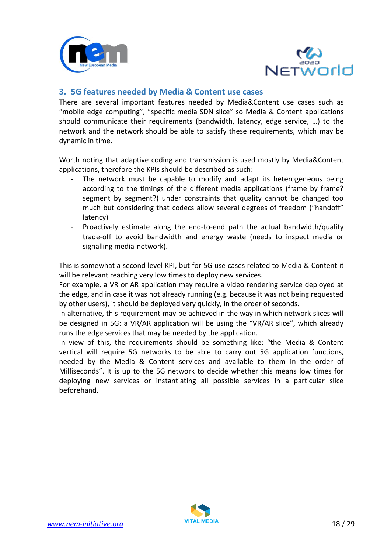



## <span id="page-17-0"></span>**3. 5G features needed by Media & Content use cases**

There are several important features needed by Media&Content use cases such as "mobile edge computing", "specific media SDN slice" so Media & Content applications should communicate their requirements (bandwidth, latency, edge service, …) to the network and the network should be able to satisfy these requirements, which may be dynamic in time.

Worth noting that adaptive coding and transmission is used mostly by Media&Content applications, therefore the KPIs should be described as such:

- The network must be capable to modify and adapt its heterogeneous being according to the timings of the different media applications (frame by frame? segment by segment?) under constraints that quality cannot be changed too much but considering that codecs allow several degrees of freedom ("handoff" latency)
- Proactively estimate along the end-to-end path the actual bandwidth/quality trade-off to avoid bandwidth and energy waste (needs to inspect media or signalling media-network).

This is somewhat a second level KPI, but for 5G use cases related to Media & Content it will be relevant reaching very low times to deploy new services.

For example, a VR or AR application may require a video rendering service deployed at the edge, and in case it was not already running (e.g. because it was not being requested by other users), it should be deployed very quickly, in the order of seconds.

In alternative, this requirement may be achieved in the way in which network slices will be designed in 5G: a VR/AR application will be using the "VR/AR slice", which already runs the edge services that may be needed by the application.

In view of this, the requirements should be something like: "the Media & Content vertical will require 5G networks to be able to carry out 5G application functions, needed by the Media & Content services and available to them in the order of Milliseconds". It is up to the 5G network to decide whether this means low times for deploying new services or instantiating all possible services in a particular slice beforehand.

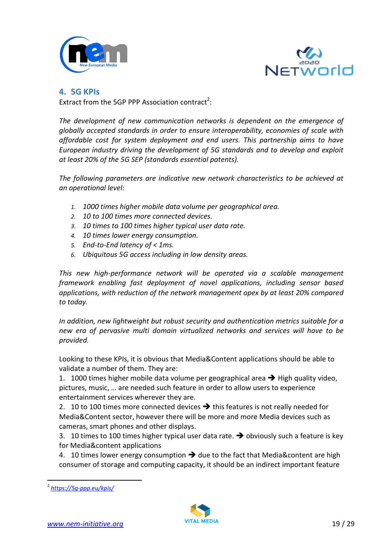



## <span id="page-18-0"></span>**4. 5G KPIs**

Extract from the 5GP PPP Association contract<sup>2</sup>:

The development of new communication networks is dependent on the emergence of *globally accepted standards in order to ensure interoperability, economies of scale with affordable cost for system deployment and end users. This partnership aims to have European industry driving the development of 5G standards and to develop and exploit at least 20% of the 5G SEP (standards essential patents).*

*The following parameters are indicative new network characteristics to be achieved at an operational level:*

- *1. 1000 times higher mobile data volume per geographical area.*
- *2. 10 to 100 times more connected devices.*
- *3. 10 times to 100 times higher typical user data rate.*
- *4. 10 times lower energy consumption.*
- *5. End-to-End latency of < 1ms.*
- *6. Ubiquitous 5G access including in low density areas.*

*This new high-performance network will be operated via a scalable management framework enabling fast deployment of novel applications, including sensor based applications, with reduction of the network management opex by at least 20% compared to today.*

*In addition, new lightweight but robust security and authentication metrics suitable for a new era of pervasive multi domain virtualized networks and services will have to be provided.*

Looking to these KPIs, it is obvious that Media&Content applications should be able to validate a number of them. They are:

1. 1000 times higher mobile data volume per geographical area  $\rightarrow$  High quality video, pictures, music, … are needed such feature in order to allow users to experience entertainment services wherever they are.

2. 10 to 100 times more connected devices  $\rightarrow$  this features is not really needed for Media&Content sector, however there will be more and more Media devices such as cameras, smart phones and other displays.

3. 10 times to 100 times higher typical user data rate.  $\rightarrow$  obviously such a feature is key for Media&content applications

4. 10 times lower energy consumption  $\rightarrow$  due to the fact that Media&content are high consumer of storage and computing capacity, it should be an indirect important feature

-



<sup>2</sup> *<https://5g-ppp.eu/kpis/>*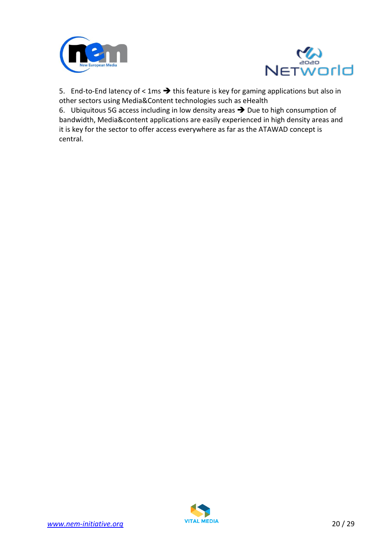



5. End-to-End latency of < 1ms  $\rightarrow$  this feature is key for gaming applications but also in other sectors using Media&Content technologies such as eHealth

6. Ubiquitous 5G access including in low density areas  $\rightarrow$  Due to high consumption of bandwidth, Media&content applications are easily experienced in high density areas and it is key for the sector to offer access everywhere as far as the ATAWAD concept is central.

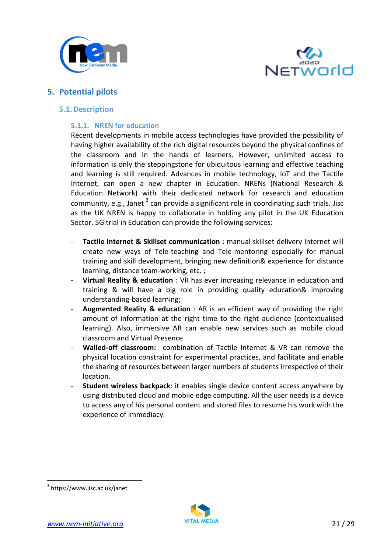



## <span id="page-20-1"></span><span id="page-20-0"></span>**5. Potential pilots**

#### <span id="page-20-2"></span>**5.1.Description**

#### **5.1.1. NREN for education**

Recent developments in mobile access technologies have provided the possibility of having higher availability of the rich digital resources beyond the physical confines of the classroom and in the hands of learners. However, unlimited access to information is only the steppingstone for ubiquitous learning and effective teaching and learning is still required. Advances in mobile technology, IoT and the Tactile Internet, can open a new chapter in Education. NRENs (National Research & Education Network) with their dedicated network for research and education community, e.g., Janet  $3$  can provide a significant role in coordinating such trials. Jisc as the UK NREN is happy to collaborate in holding any pilot in the UK Education Sector. 5G trial in Education can provide the following services:

- **Tactile Internet & Skillset communication** : manual skillset delivery Internet will create new ways of Tele-teaching and Tele-mentoring especially for manual training and skill development, bringing new definition& experience for distance learning, distance team-working, etc. ;
- **Virtual Reality & education** : VR has ever increasing relevance in education and training & will have a big role in providing quality education& improving understanding-based learning;
- **Augmented Reality & education** : AR is an efficient way of providing the right amount of information at the right time to the right audience (contextualised learning). Also, immersive AR can enable new services such as mobile cloud classroom and Virtual Presence.
- **Walled-off classroom:** combination of Tactile Internet & VR can remove the physical location constraint for experimental practices, and facilitate and enable the sharing of resources between larger numbers of students irrespective of their location.
- **Student wireless backpack**: it enables single device content access anywhere by using distributed cloud and mobile edge computing. All the user needs is a device to access any of his personal content and stored files to resume his work with the experience of immediacy.

-



<sup>3</sup> https://www.jisc.ac.uk/janet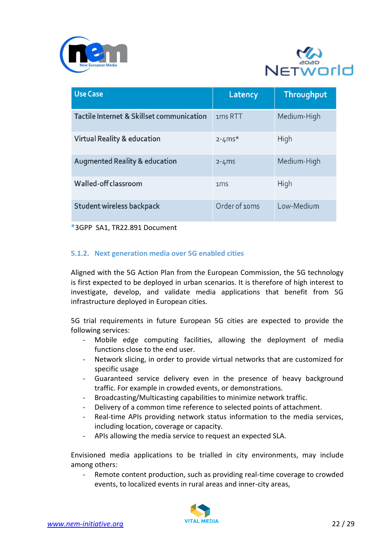



| <b>Use Case</b>                           | Latency             | Throughput  |
|-------------------------------------------|---------------------|-------------|
| Tactile Internet & Skillset communication | 1 <sub>ms</sub> RTT | Medium-High |
| <b>Virtual Reality &amp; education</b>    | $2 - 4$ ms*         | High        |
| <b>Augmented Reality &amp; education</b>  | $2 - 4$ ms          | Medium-High |
| Walled-off classroom                      | 1 <sub>ms</sub>     | High        |
| <b>Student wireless backpack</b>          | Order of 10ms       | Low-Medium  |

**\***3GPP SA1, TR22.891 Document

#### <span id="page-21-0"></span>**5.1.2. Next generation media over 5G enabled cities**

Aligned with the 5G Action Plan from the European Commission, the 5G technology is first expected to be deployed in urban scenarios. It is therefore of high interest to investigate, develop, and validate media applications that benefit from 5G infrastructure deployed in European cities.

5G trial requirements in future European 5G cities are expected to provide the following services:

- Mobile edge computing facilities, allowing the deployment of media functions close to the end user.
- Network slicing, in order to provide virtual networks that are customized for specific usage
- Guaranteed service delivery even in the presence of heavy background traffic. For example in crowded events, or demonstrations.
- Broadcasting/Multicasting capabilities to minimize network traffic.
- Delivery of a common time reference to selected points of attachment.
- Real-time APIs providing network status information to the media services, including location, coverage or capacity.
- APIs allowing the media service to request an expected SLA.

Envisioned media applications to be trialled in city environments, may include among others:

Remote content production, such as providing real-time coverage to crowded events, to localized events in rural areas and inner-city areas,

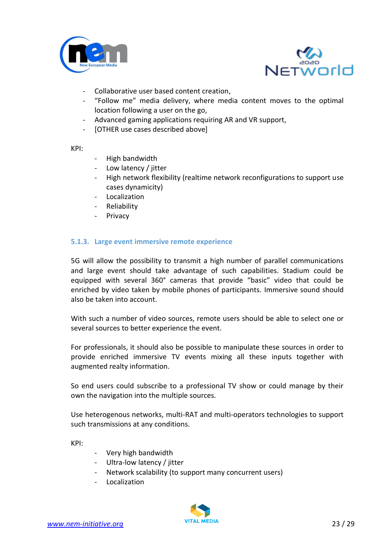



- Collaborative user based content creation,
- "Follow me" media delivery, where media content moves to the optimal location following a user on the go,
- Advanced gaming applications requiring AR and VR support,
- [OTHER use cases described above]

KPI:

- High bandwidth
- Low latency / jitter
- High network flexibility (realtime network reconfigurations to support use cases dynamicity)
- Localization
- Reliability
- Privacy

#### <span id="page-22-0"></span>**5.1.3. Large event immersive remote experience**

5G will allow the possibility to transmit a high number of parallel communications and large event should take advantage of such capabilities. Stadium could be equipped with several 360° cameras that provide "basic" video that could be enriched by video taken by mobile phones of participants. Immersive sound should also be taken into account.

With such a number of video sources, remote users should be able to select one or several sources to better experience the event.

For professionals, it should also be possible to manipulate these sources in order to provide enriched immersive TV events mixing all these inputs together with augmented realty information.

So end users could subscribe to a professional TV show or could manage by their own the navigation into the multiple sources.

Use heterogenous networks, multi-RAT and multi-operators technologies to support such transmissions at any conditions.

KPI:

- Very high bandwidth
- Ultra-low latency / jitter
- Network scalability (to support many concurrent users)
- Localization

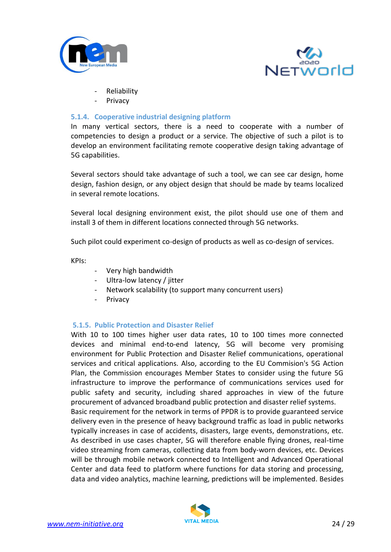



- **Reliability**
- **Privacy**

#### <span id="page-23-0"></span>**5.1.4. Cooperative industrial designing platform**

In many vertical sectors, there is a need to cooperate with a number of competencies to design a product or a service. The objective of such a pilot is to develop an environment facilitating remote cooperative design taking advantage of 5G capabilities.

Several sectors should take advantage of such a tool, we can see car design, home design, fashion design, or any object design that should be made by teams localized in several remote locations.

Several local designing environment exist, the pilot should use one of them and install 3 of them in different locations connected through 5G networks.

Such pilot could experiment co-design of products as well as co-design of services.

KPIs:

- Very high bandwidth
- Ultra-low latency / jitter
- Network scalability (to support many concurrent users)
- **Privacy**

#### <span id="page-23-1"></span>**5.1.5. Public Protection and Disaster Relief**

With 10 to 100 times higher user data rates, 10 to 100 times more connected devices and minimal end-to-end latency, 5G will become very promising environment for Public Protection and Disaster Relief communications, operational services and critical applications. Also, according to the EU Commision's 5G Action Plan, the Commission encourages Member States to consider using the future 5G infrastructure to improve the performance of communications services used for public safety and security, including shared approaches in view of the future procurement of advanced broadband public protection and disaster relief systems. Basic requirement for the network in terms of PPDR is to provide guaranteed service

delivery even in the presence of heavy background traffic as load in public networks typically increases in case of accidents, disasters, large events, demonstrations, etc. As described in use cases chapter, 5G will therefore enable flying drones, real-time video streaming from cameras, collecting data from body-worn devices, etc. Devices will be through mobile network connected to Intelligent and Advanced Operational Center and data feed to platform where functions for data storing and processing, data and video analytics, machine learning, predictions will be implemented. Besides

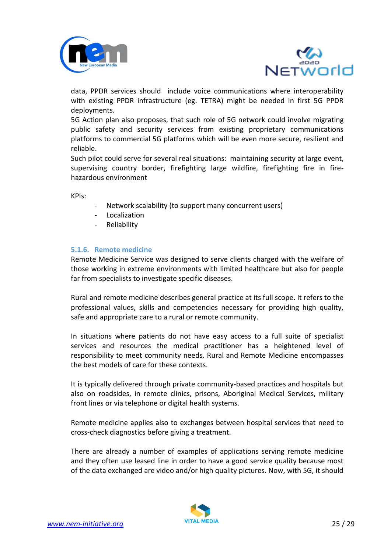



data, PPDR services should include voice communications where interoperability with existing PPDR infrastructure (eg. TETRA) might be needed in first 5G PPDR deployments.

5G Action plan also proposes, that such role of 5G network could involve migrating public safety and security services from existing proprietary communications platforms to commercial 5G platforms which will be even more secure, resilient and reliable.

Such pilot could serve for several real situations: maintaining security at large event, supervising country border, firefighting large wildfire, firefighting fire in firehazardous environment

KPIs:

- Network scalability (to support many concurrent users)
- **Localization**
- **Reliability**

#### <span id="page-24-0"></span>**5.1.6. Remote medicine**

Remote Medicine Service was designed to serve clients charged with the welfare of those working in extreme environments with limited healthcare but also for people far from specialists to investigate specific diseases.

Rural and remote medicine describes general practice at its full scope. It refers to the professional values, skills and competencies necessary for providing high quality, safe and appropriate care to a rural or remote community.

In situations where patients do not have easy access to a full suite of specialist services and resources the medical practitioner has a heightened level of responsibility to meet community needs. Rural and Remote Medicine encompasses the best models of care for these contexts.

It is typically delivered through private community-based practices and hospitals but also on roadsides, in remote clinics, prisons, Aboriginal Medical Services, military front lines or via telephone or digital health systems.

Remote medicine applies also to exchanges between hospital services that need to cross-check diagnostics before giving a treatment.

There are already a number of examples of applications serving remote medicine and they often use leased line in order to have a good service quality because most of the data exchanged are video and/or high quality pictures. Now, with 5G, it should

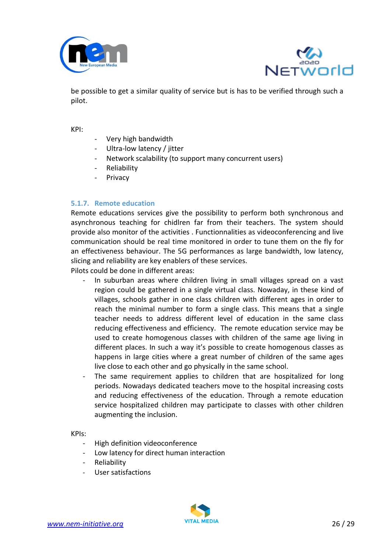



be possible to get a similar quality of service but is has to be verified through such a pilot.

KPI:

- Very high bandwidth
- Ultra-low latency / jitter
- Network scalability (to support many concurrent users)
- **Reliability**
- Privacy

#### <span id="page-25-0"></span>**5.1.7. Remote education**

Remote educations services give the possibility to perform both synchronous and asynchronous teaching for chidlren far from their teachers. The system should provide also monitor of the activities . Functionnalities as videoconferencing and live communication should be real time monitored in order to tune them on the fly for an effectiveness behaviour. The 5G performances as large bandwidth, low latency, slicing and reliability are key enablers of these services.

Pilots could be done in different areas:

- In suburban areas where children living in small villages spread on a vast region could be gathered in a single virtual class. Nowaday, in these kind of villages, schools gather in one class children with different ages in order to reach the minimal number to form a single class. This means that a single teacher needs to address different level of education in the same class reducing effectiveness and efficiency. The remote education service may be used to create homogenous classes with children of the same age living in different places. In such a way it's possible to create homogenous classes as happens in large cities where a great number of children of the same ages live close to each other and go physically in the same school.
- The same requirement applies to children that are hospitalized for long periods. Nowadays dedicated teachers move to the hospital increasing costs and reducing effectiveness of the education. Through a remote education service hospitalized children may participate to classes with other children augmenting the inclusion.

#### KPIs:

- High definition videoconference
- Low latency for direct human interaction
- **Reliability**
- User satisfactions

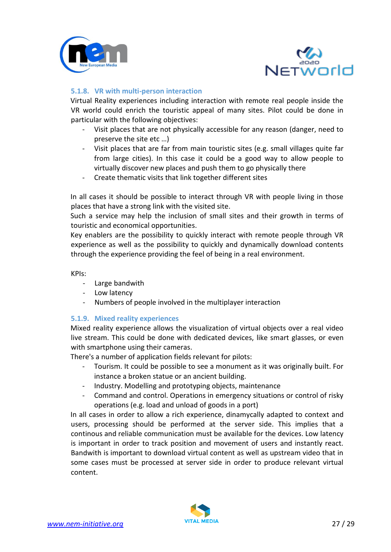



### <span id="page-26-0"></span>**5.1.8. VR with multi-person interaction**

Virtual Reality experiences including interaction with remote real people inside the VR world could enrich the touristic appeal of many sites. Pilot could be done in particular with the following objectives:

- Visit places that are not physically accessible for any reason (danger, need to preserve the site etc …)
- Visit places that are far from main touristic sites (e.g. small villages quite far from large cities). In this case it could be a good way to allow people to virtually discover new places and push them to go physically there
- Create thematic visits that link together different sites

In all cases it should be possible to interact through VR with people living in those places that have a strong link with the visited site.

Such a service may help the inclusion of small sites and their growth in terms of touristic and economical opportunities.

Key enablers are the possibility to quickly interact with remote people through VR experience as well as the possibility to quickly and dynamically download contents through the experience providing the feel of being in a real environment.

KPIs:

- Large bandwith
- Low latency
- Numbers of people involved in the multiplayer interaction

#### <span id="page-26-1"></span>**5.1.9. Mixed reality experiences**

Mixed reality experience allows the visualization of virtual objects over a real video live stream. This could be done with dedicated devices, like smart glasses, or even with smartphone using their cameras.

There's a number of application fields relevant for pilots:

- Tourism. It could be possible to see a monument as it was originally built. For instance a broken statue or an ancient building.
- Industry. Modelling and prototyping objects, maintenance
- Command and control. Operations in emergency situations or control of risky operations (e.g. load and unload of goods in a port)

In all cases in order to allow a rich experience, dinamycally adapted to context and users, processing should be performed at the server side. This implies that a continous and reliable communication must be available for the devices. Low latency is important in order to track position and movement of users and instantly react. Bandwith is important to download virtual content as well as upstream video that in some cases must be processed at server side in order to produce relevant virtual content.

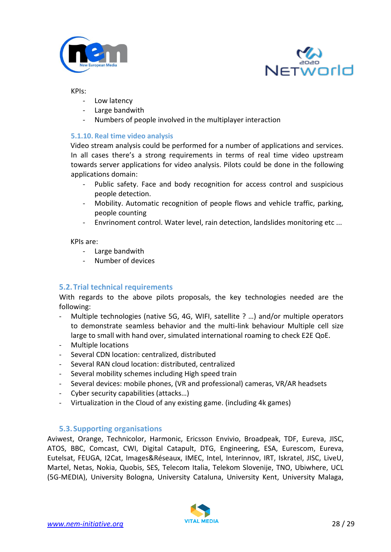



#### KPIs:

- Low latency
- Large bandwith
- Numbers of people involved in the multiplayer interaction

#### <span id="page-27-0"></span>**5.1.10. Real time video analysis**

Video stream analysis could be performed for a number of applications and services. In all cases there's a strong requirements in terms of real time video upstream towards server applications for video analysis. Pilots could be done in the following applications domain:

- Public safety. Face and body recognition for access control and suspicious people detection.
- Mobility. Automatic recognition of people flows and vehicle traffic, parking, people counting
- Envrinoment control. Water level, rain detection, landslides monitoring etc ...

#### KPIs are:

- Large bandwith
- Number of devices

## <span id="page-27-1"></span>**5.2.Trial technical requirements**

With regards to the above pilots proposals, the key technologies needed are the following:

- Multiple technologies (native 5G, 4G, WIFI, satellite ? ...) and/or multiple operators to demonstrate seamless behavior and the multi-link behaviour Multiple cell size large to small with hand over, simulated international roaming to check E2E QoE.
- Multiple locations
- Several CDN location: centralized, distributed
- Several RAN cloud location: distributed, centralized
- Several mobility schemes including High speed train
- Several devices: mobile phones, (VR and professional) cameras, VR/AR headsets
- Cyber security capabilities (attacks…)
- Virtualization in the Cloud of any existing game. (including 4k games)

#### <span id="page-27-2"></span>**5.3.Supporting organisations**

Aviwest, Orange, Technicolor, Harmonic, Ericsson Envivio, Broadpeak, TDF, Eureva, JISC, ATOS, BBC, Comcast, CWI, Digital Catapult, DTG, Engineering, ESA, Eurescom, Eureva, Eutelsat, FEUGA, I2Cat, Images&Réseaux, IMEC, Intel, Interinnov, IRT, Iskratel, JISC, LiveU, Martel, Netas, Nokia, Quobis, SES, Telecom Italia, Telekom Slovenije, TNO, Ubiwhere, UCL (5G-MEDIA), University Bologna, University Cataluna, University Kent, University Malaga,